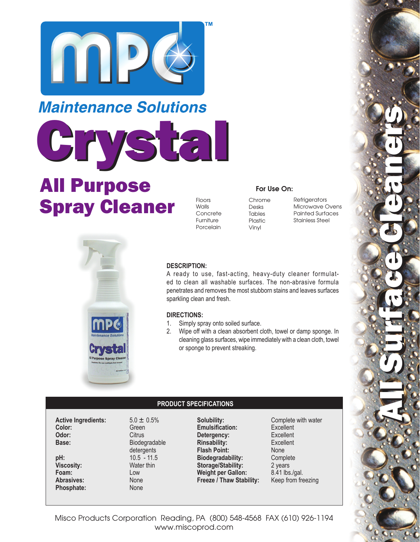

## **Maintenance Solutions**

Grystal

# All Purpose Spray Cleaner

Floors Walls Concrete Furniture Porcelain

### For Use On:

Chrome Desks Tables Plastic Vinyl

**Refrigerators** Microwave Ovens Painted Surfaces Stainless Steel

All Surface Cleaners All Surface Cleaners



#### **DESCRIPTION:**

A ready to use, fast-acting, heavy-duty cleaner formulated to clean all washable surfaces. The non-abrasive formula penetrates and removes the most stubborn stains and leaves surfaces sparkling clean and fresh.

#### **DIRECTIONS:**

- 1. Simply spray onto soiled surface.
- 2. Wipe off with a clean absorbent cloth, towel or damp sponge. In cleaning glass surfaces, wipe immediately with a clean cloth, towel or sponge to prevent streaking.

#### **PRODUCT SPECIFICATIONS**

**Active Ingredients:** 5.0 ± 0.5% **Color:** Green **Odor:** Citrus **Base:** Biodegradable detergents<br>**DH:** 10.5 - 11.5  $Viscosity:$ **Foam:** Low Abrasives: None

10.5 - 11.5<br>Water thin Phosphate: None

**Solubility:** Complete with water **Emulsification:** Excellent<br> **Detergency:** Excellent **Detergency:** Excellent<br> **Rinsability:** Excellent **Rinsability: Flash Point:** None<br> **Biodegradability:** Complete **Biodegradability:** Comple<br> **Storage/Stability:** 2 years **Storage/Stability:** 2 years<br>**Weight per Gallon:** 8.41 lbs./gal. **Weight per Gallon: Freeze / Thaw Stability:**  Keep from freezing

Misco Products Corporation Reading, PA (800) 548-4568 FAX (610) 926-1194 www.miscoprod.com